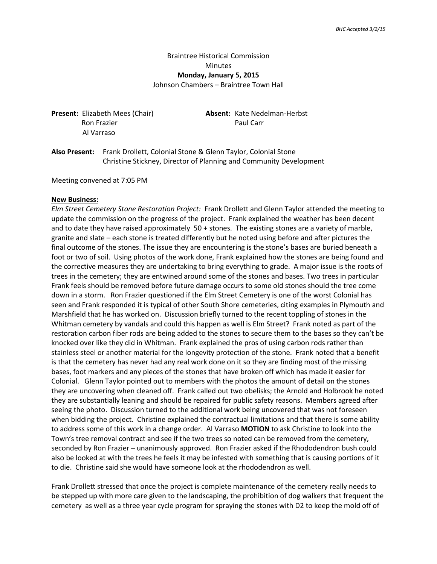# Braintree Historical Commission Minutes **Monday, January 5, 2015**

Johnson Chambers – Braintree Town Hall

Ron Frazier **Paul Carr** Al Varraso

**Present:** Elizabeth Mees (Chair) **Absent:** Kate Nedelman-Herbst

**Also Present:** Frank Drollett, Colonial Stone & Glenn Taylor, Colonial Stone Christine Stickney, Director of Planning and Community Development

Meeting convened at 7:05 PM

#### **New Business:**

*Elm Street Cemetery Stone Restoration Project:* Frank Drollett and Glenn Taylor attended the meeting to update the commission on the progress of the project. Frank explained the weather has been decent and to date they have raised approximately 50 + stones. The existing stones are a variety of marble, granite and slate – each stone is treated differently but he noted using before and after pictures the final outcome of the stones. The issue they are encountering is the stone's bases are buried beneath a foot or two of soil. Using photos of the work done, Frank explained how the stones are being found and the corrective measures they are undertaking to bring everything to grade. A major issue is the roots of trees in the cemetery; they are entwined around some of the stones and bases. Two trees in particular Frank feels should be removed before future damage occurs to some old stones should the tree come down in a storm. Ron Frazier questioned if the Elm Street Cemetery is one of the worst Colonial has seen and Frank responded it is typical of other South Shore cemeteries, citing examples in Plymouth and Marshfield that he has worked on. Discussion briefly turned to the recent toppling of stones in the Whitman cemetery by vandals and could this happen as well is Elm Street? Frank noted as part of the restoration carbon fiber rods are being added to the stones to secure them to the bases so they can't be knocked over like they did in Whitman. Frank explained the pros of using carbon rods rather than stainless steel or another material for the longevity protection of the stone. Frank noted that a benefit is that the cemetery has never had any real work done on it so they are finding most of the missing bases, foot markers and any pieces of the stones that have broken off which has made it easier for Colonial. Glenn Taylor pointed out to members with the photos the amount of detail on the stones they are uncovering when cleaned off. Frank called out two obelisks; the Arnold and Holbrook he noted they are substantially leaning and should be repaired for public safety reasons. Members agreed after seeing the photo. Discussion turned to the additional work being uncovered that was not foreseen when bidding the project. Christine explained the contractual limitations and that there is some ability to address some of this work in a change order. Al Varraso **MOTION** to ask Christine to look into the Town's tree removal contract and see if the two trees so noted can be removed from the cemetery, seconded by Ron Frazier – unanimously approved. Ron Frazier asked if the Rhododendron bush could also be looked at with the trees he feels it may be infested with something that is causing portions of it to die. Christine said she would have someone look at the rhododendron as well.

Frank Drollett stressed that once the project is complete maintenance of the cemetery really needs to be stepped up with more care given to the landscaping, the prohibition of dog walkers that frequent the cemetery as well as a three year cycle program for spraying the stones with D2 to keep the mold off of